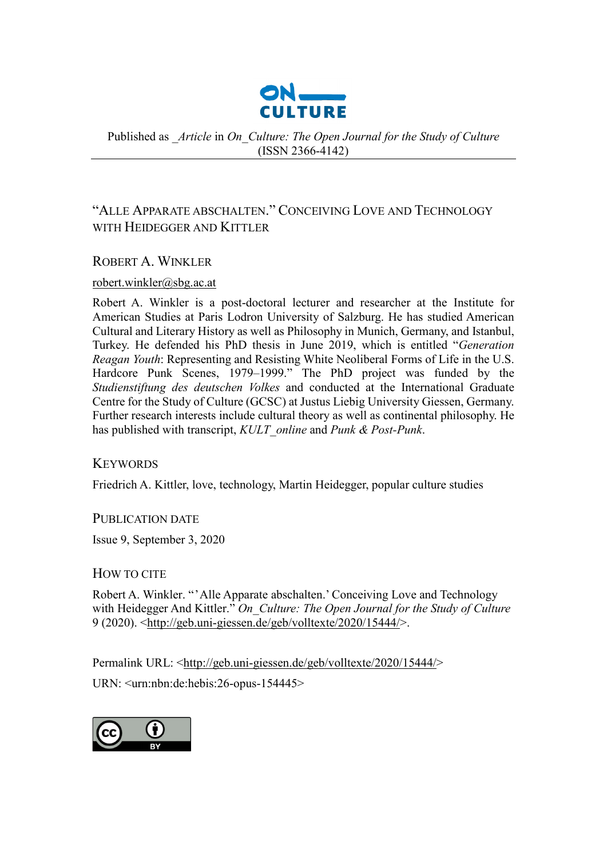

Published as *\_Article* in *On\_Culture: The Open Journal for the Study of Culture*  (ISSN 2366-4142)

## "ALLE APPARATE ABSCHALTEN." CONCEIVING LOVE AND TECHNOLOGY WITH HEIDEGGER AND KITTLER

## ROBERT A. WINKLER

#### [robert.winkler@sbg.ac.at](mailto:robert.winkler@sbg.ac.at)

Robert A. Winkler is a post-doctoral lecturer and researcher at the Institute for American Studies at Paris Lodron University of Salzburg. He has studied American Cultural and Literary History as well as Philosophy in Munich, Germany, and Istanbul, Turkey. He defended his PhD thesis in June 2019, which is entitled "*Generation Reagan Youth*: Representing and Resisting White Neoliberal Forms of Life in the U.S. Hardcore Punk Scenes, 1979–1999." The PhD project was funded by the *Studienstiftung des deutschen Volkes* and conducted at the International Graduate Centre for the Study of Culture (GCSC) at Justus Liebig University Giessen, Germany. Further research interests include cultural theory as well as continental philosophy. He has published with transcript, *KULT\_online* and *Punk & Post-Punk*.

## **KEYWORDS**

Friedrich A. Kittler, love, technology, Martin Heidegger, popular culture studies

## PUBLICATION DATE

Issue 9, September 3, 2020

## HOW TO CITE

Robert A. Winkler. "'Alle Apparate abschalten.' Conceiving Love and Technology with Heidegger And Kittler." *On\_Culture: The Open Journal for the Study of Culture* 9 (2020). [<http://geb.uni-giessen.de/geb/volltexte/2020/15444/>](http://geb.uni-giessen.de/geb/volltexte/2020/15444/).

Permalink URL: [<http://geb.uni-giessen.de/geb/volltexte/2020/15444/>](http://geb.uni-giessen.de/geb/volltexte/2020/15444/)

URN: <urn:nbn:de:hebis:26-opus-154445>

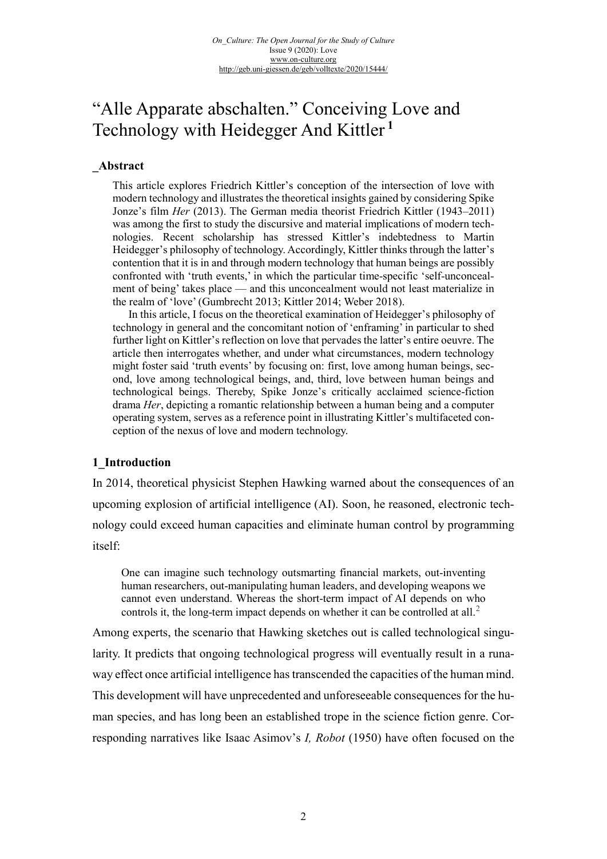# "Alle Apparate abschalten." Conceiving Love and Technology with Heidegger And Kittler **[1](#page-17-0)**

#### **\_Abstract**

This article explores Friedrich Kittler's conception of the intersection of love with modern technology and illustrates the theoretical insights gained by considering Spike Jonze's film *Her* (2013). The German media theorist Friedrich Kittler (1943–2011) was among the first to study the discursive and material implications of modern technologies. Recent scholarship has stressed Kittler's indebtedness to Martin Heidegger's philosophy of technology. Accordingly, Kittler thinks through the latter's contention that it is in and through modern technology that human beings are possibly confronted with 'truth events,' in which the particular time-specific 'self-unconcealment of being' takes place — and this unconcealment would not least materialize in the realm of 'love' (Gumbrecht 2013; Kittler 2014; Weber 2018).

In this article, I focus on the theoretical examination of Heidegger's philosophy of technology in general and the concomitant notion of 'enframing' in particular to shed further light on Kittler's reflection on love that pervades the latter's entire oeuvre. The article then interrogates whether, and under what circumstances, modern technology might foster said 'truth events' by focusing on: first, love among human beings, second, love among technological beings, and, third, love between human beings and technological beings. Thereby, Spike Jonze's critically acclaimed science-fiction drama *Her*, depicting a romantic relationship between a human being and a computer operating system, serves as a reference point in illustrating Kittler's multifaceted conception of the nexus of love and modern technology.

#### **1\_Introduction**

In 2014, theoretical physicist Stephen Hawking warned about the consequences of an upcoming explosion of artificial intelligence (AI). Soon, he reasoned, electronic technology could exceed human capacities and eliminate human control by programming itself:

One can imagine such technology outsmarting financial markets, out-inventing human researchers, out-manipulating human leaders, and developing weapons we cannot even understand. Whereas the short-term impact of AI depends on who controls it, the long-term impact depends on whether it can be controlled at all.<sup>[2](#page-17-1)</sup>

Among experts, the scenario that Hawking sketches out is called technological singularity. It predicts that ongoing technological progress will eventually result in a runaway effect once artificial intelligence has transcended the capacities of the human mind. This development will have unprecedented and unforeseeable consequences for the human species, and has long been an established trope in the science fiction genre. Corresponding narratives like Isaac Asimov's *I, Robot* (1950) have often focused on the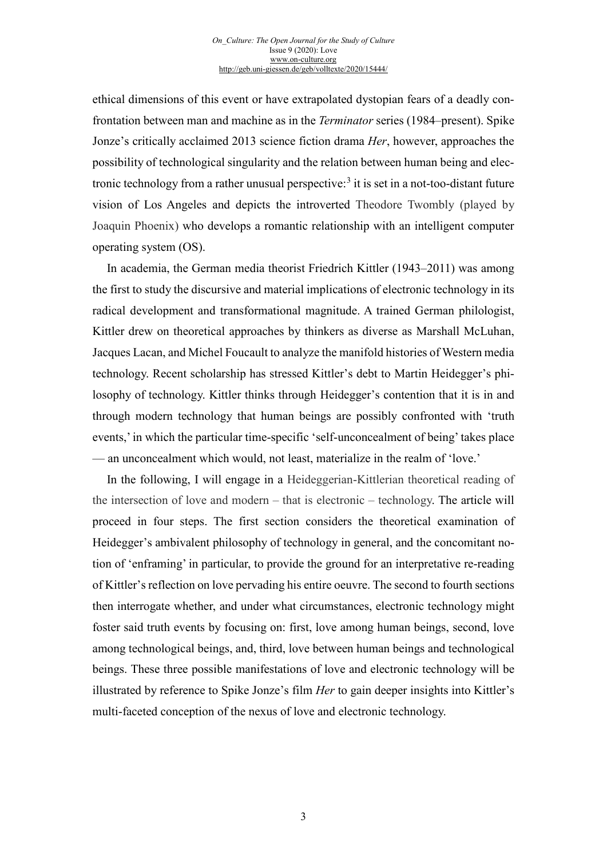ethical dimensions of this event or have extrapolated dystopian fears of a deadly confrontation between man and machine as in the *Terminator* series (1984–present). Spike Jonze's critically acclaimed 2013 science fiction drama *Her*, however, approaches the possibility of technological singularity and the relation between human being and elec-tronic technology from a rather unusual perspective:<sup>[3](#page-18-0)</sup> it is set in a not-too-distant future vision of Los Angeles and depicts the introverted Theodore Twombly (played by Joaquin Phoenix) who develops a romantic relationship with an intelligent computer operating system (OS).

In academia, the German media theorist Friedrich Kittler (1943–2011) was among the first to study the discursive and material implications of electronic technology in its radical development and transformational magnitude. A trained German philologist, Kittler drew on theoretical approaches by thinkers as diverse as Marshall McLuhan, Jacques Lacan, and Michel Foucault to analyze the manifold histories of Western media technology. Recent scholarship has stressed Kittler's debt to Martin Heidegger's philosophy of technology. Kittler thinks through Heidegger's contention that it is in and through modern technology that human beings are possibly confronted with 'truth events,' in which the particular time-specific 'self-unconcealment of being' takes place — an unconcealment which would, not least, materialize in the realm of 'love.'

In the following, I will engage in a Heideggerian-Kittlerian theoretical reading of the intersection of love and modern – that is electronic – technology. The article will proceed in four steps. The first section considers the theoretical examination of Heidegger's ambivalent philosophy of technology in general, and the concomitant notion of 'enframing' in particular, to provide the ground for an interpretative re-reading of Kittler's reflection on love pervading his entire oeuvre. The second to fourth sections then interrogate whether, and under what circumstances, electronic technology might foster said truth events by focusing on: first, love among human beings, second, love among technological beings, and, third, love between human beings and technological beings. These three possible manifestations of love and electronic technology will be illustrated by reference to Spike Jonze's film *Her* to gain deeper insights into Kittler's multi-faceted conception of the nexus of love and electronic technology.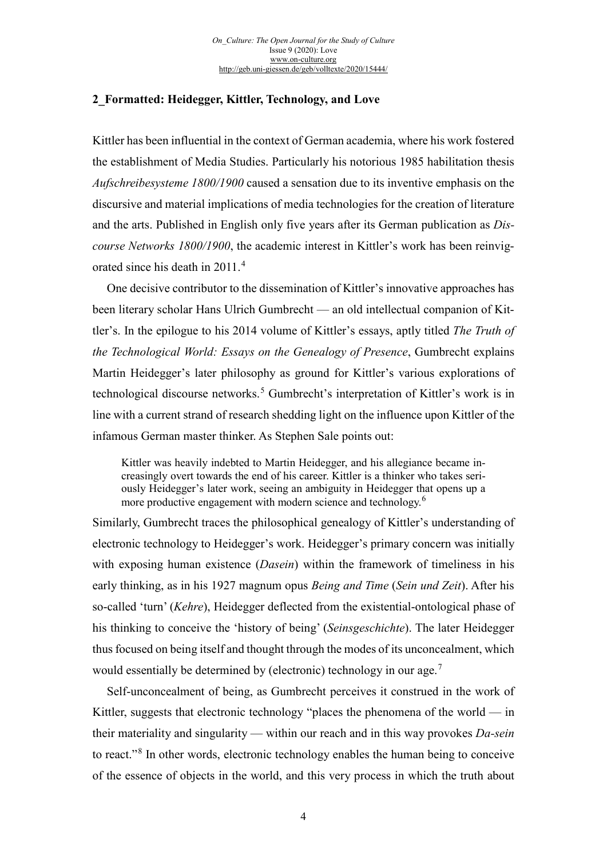#### **2\_Formatted: Heidegger, Kittler, Technology, and Love**

Kittler has been influential in the context of German academia, where his work fostered the establishment of Media Studies. Particularly his notorious 1985 habilitation thesis *Aufschreibesysteme 1800/1900* caused a sensation due to its inventive emphasis on the discursive and material implications of media technologies for the creation of literature and the arts. Published in English only five years after its German publication as *Discourse Networks 1800/1900*, the academic interest in Kittler's work has been reinvigorated since his death in 2011.[4](#page-18-1)

One decisive contributor to the dissemination of Kittler's innovative approaches has been literary scholar Hans Ulrich Gumbrecht — an old intellectual companion of Kittler's. In the epilogue to his 2014 volume of Kittler's essays, aptly titled *The Truth of the Technological World: Essays on the Genealogy of Presence*, Gumbrecht explains Martin Heidegger's later philosophy as ground for Kittler's various explorations of technological discourse networks.<sup>[5](#page-18-2)</sup> Gumbrecht's interpretation of Kittler's work is in line with a current strand of research shedding light on the influence upon Kittler of the infamous German master thinker. As Stephen Sale points out:

Kittler was heavily indebted to Martin Heidegger, and his allegiance became increasingly overt towards the end of his career. Kittler is a thinker who takes seriously Heidegger's later work, seeing an ambiguity in Heidegger that opens up a more productive engagement with modern science and technology.<sup>[6](#page-18-3)</sup>

Similarly, Gumbrecht traces the philosophical genealogy of Kittler's understanding of electronic technology to Heidegger's work. Heidegger's primary concern was initially with exposing human existence (*Dasein*) within the framework of timeliness in his early thinking, as in his 1927 magnum opus *Being and Time* (*Sein und Zeit*). After his so-called 'turn' (*Kehre*), Heidegger deflected from the existential-ontological phase of his thinking to conceive the 'history of being' (*Seinsgeschichte*). The later Heidegger thus focused on being itself and thought through the modes of its unconcealment, which would essentially be determined by (electronic) technology in our age.<sup>[7](#page-18-4)</sup>

Self-unconcealment of being, as Gumbrecht perceives it construed in the work of Kittler, suggests that electronic technology "places the phenomena of the world — in their materiality and singularity — within our reach and in this way provokes *Da-sein* to react."[8](#page-18-5) In other words, electronic technology enables the human being to conceive of the essence of objects in the world, and this very process in which the truth about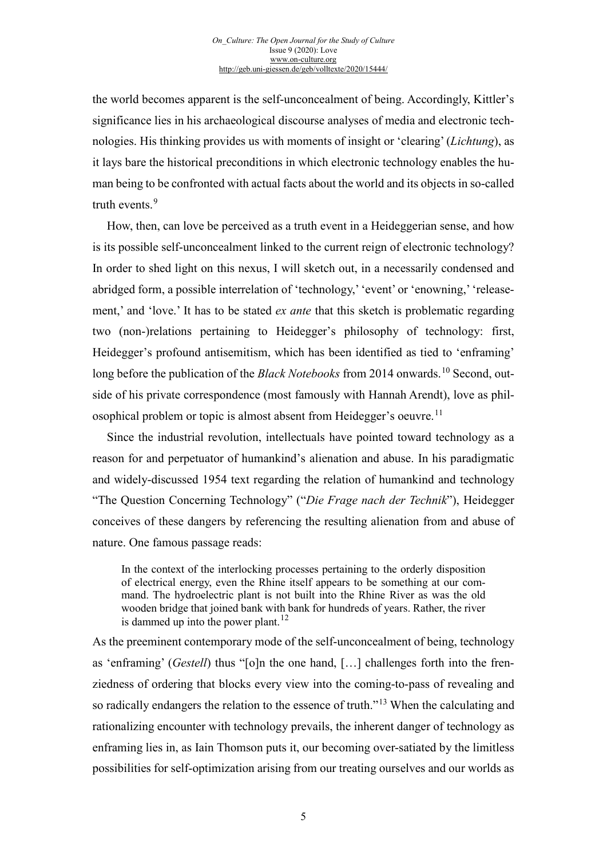the world becomes apparent is the self-unconcealment of being. Accordingly, Kittler's significance lies in his archaeological discourse analyses of media and electronic technologies. His thinking provides us with moments of insight or 'clearing' (*Lichtung*), as it lays bare the historical preconditions in which electronic technology enables the human being to be confronted with actual facts about the world and its objects in so-called truth events.<sup>[9](#page-19-0)</sup>

How, then, can love be perceived as a truth event in a Heideggerian sense, and how is its possible self-unconcealment linked to the current reign of electronic technology? In order to shed light on this nexus, I will sketch out, in a necessarily condensed and abridged form, a possible interrelation of 'technology,' 'event' or 'enowning,' 'releasement,' and 'love.' It has to be stated *ex ante* that this sketch is problematic regarding two (non-)relations pertaining to Heidegger's philosophy of technology: first, Heidegger's profound antisemitism, which has been identified as tied to 'enframing' long before the publication of the *Black Notebooks* from 2014 onwards.<sup>[10](#page-19-1)</sup> Second, outside of his private correspondence (most famously with Hannah Arendt), love as phil-osophical problem or topic is almost absent from Heidegger's oeuvre.<sup>[11](#page-19-2)</sup>

Since the industrial revolution, intellectuals have pointed toward technology as a reason for and perpetuator of humankind's alienation and abuse. In his paradigmatic and widely-discussed 1954 text regarding the relation of humankind and technology "The Question Concerning Technology" ("*Die Frage nach der Technik*"), Heidegger conceives of these dangers by referencing the resulting alienation from and abuse of nature. One famous passage reads:

In the context of the interlocking processes pertaining to the orderly disposition of electrical energy, even the Rhine itself appears to be something at our command. The hydroelectric plant is not built into the Rhine River as was the old wooden bridge that joined bank with bank for hundreds of years. Rather, the river is dammed up into the power plant.<sup>[12](#page-19-3)</sup>

As the preeminent contemporary mode of the self-unconcealment of being, technology as 'enframing' (*Gestell*) thus "[o]n the one hand, […] challenges forth into the frenziedness of ordering that blocks every view into the coming-to-pass of revealing and so radically endangers the relation to the essence of truth."<sup>[13](#page-19-4)</sup> When the calculating and rationalizing encounter with technology prevails, the inherent danger of technology as enframing lies in, as Iain Thomson puts it, our becoming over-satiated by the limitless possibilities for self-optimization arising from our treating ourselves and our worlds as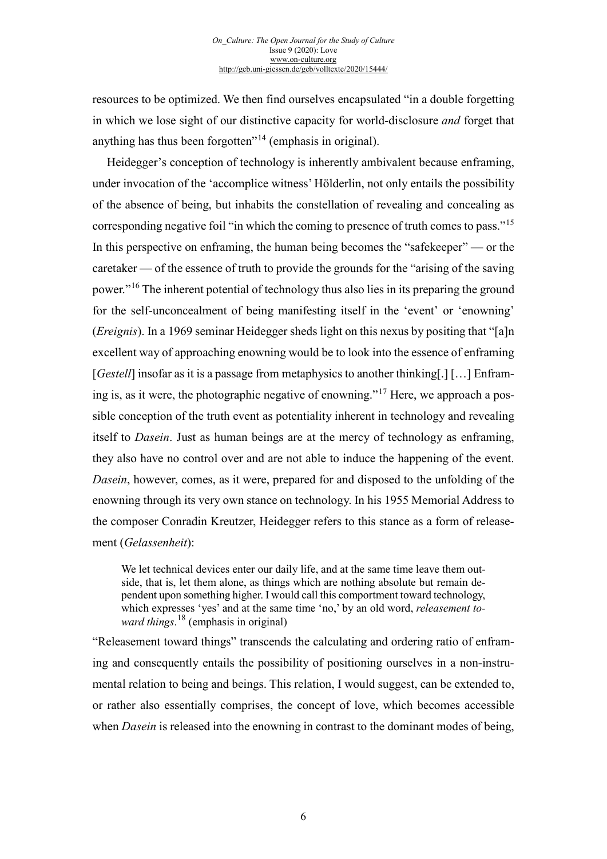resources to be optimized. We then find ourselves encapsulated "in a double forgetting in which we lose sight of our distinctive capacity for world-disclosure *and* forget that anything has thus been forgotten"[14](#page-20-0) (emphasis in original).

Heidegger's conception of technology is inherently ambivalent because enframing, under invocation of the 'accomplice witness' Hölderlin, not only entails the possibility of the absence of being, but inhabits the constellation of revealing and concealing as corresponding negative foil "in which the coming to presence of truth comes to pass."<sup>[15](#page-20-1)</sup> In this perspective on enframing, the human being becomes the "safekeeper" — or the caretaker — of the essence of truth to provide the grounds for the "arising of the saving power."[16](#page-20-2) The inherent potential of technology thus also lies in its preparing the ground for the self-unconcealment of being manifesting itself in the 'event' or 'enowning' (*Ereignis*). In a 1969 seminar Heidegger sheds light on this nexus by positing that "[a]n excellent way of approaching enowning would be to look into the essence of enframing [*Gestell*] insofar as it is a passage from metaphysics to another thinking[.] […] Enframing is, as it were, the photographic negative of enowning."[17](#page-20-3) Here, we approach a possible conception of the truth event as potentiality inherent in technology and revealing itself to *Dasein*. Just as human beings are at the mercy of technology as enframing, they also have no control over and are not able to induce the happening of the event. *Dasein*, however, comes, as it were, prepared for and disposed to the unfolding of the enowning through its very own stance on technology. In his 1955 Memorial Address to the composer Conradin Kreutzer, Heidegger refers to this stance as a form of releasement (*Gelassenheit*):

We let technical devices enter our daily life, and at the same time leave them outside, that is, let them alone, as things which are nothing absolute but remain dependent upon something higher. I would call this comportment toward technology, which expresses 'yes' and at the same time 'no,' by an old word, *releasement toward things*. [18](#page-20-4) (emphasis in original)

"Releasement toward things" transcends the calculating and ordering ratio of enframing and consequently entails the possibility of positioning ourselves in a non-instrumental relation to being and beings. This relation, I would suggest, can be extended to, or rather also essentially comprises, the concept of love, which becomes accessible when *Dasein* is released into the enowning in contrast to the dominant modes of being,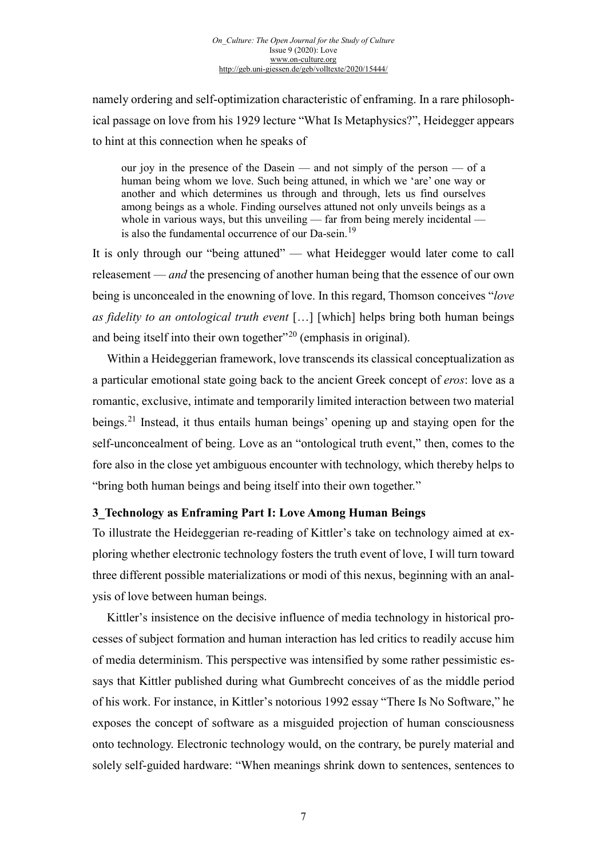namely ordering and self-optimization characteristic of enframing. In a rare philosophical passage on love from his 1929 lecture "What Is Metaphysics?", Heidegger appears to hint at this connection when he speaks of

our joy in the presence of the Dasein — and not simply of the person — of a human being whom we love. Such being attuned, in which we 'are' one way or another and which determines us through and through, lets us find ourselves among beings as a whole. Finding ourselves attuned not only unveils beings as a whole in various ways, but this unveiling — far from being merely incidental — is also the fundamental occurrence of our Da-sein.<sup>[19](#page-20-5)</sup>

It is only through our "being attuned" — what Heidegger would later come to call releasement — *and* the presencing of another human being that the essence of our own being is unconcealed in the enowning of love. In this regard, Thomson conceives "*love as fidelity to an ontological truth event* […] [which] helps bring both human beings and being itself into their own together<sup>"[20](#page-20-6)</sup> (emphasis in original).

Within a Heideggerian framework, love transcends its classical conceptualization as a particular emotional state going back to the ancient Greek concept of *eros*: love as a romantic, exclusive, intimate and temporarily limited interaction between two material beings.[21](#page-20-7) Instead, it thus entails human beings' opening up and staying open for the self-unconcealment of being. Love as an "ontological truth event," then, comes to the fore also in the close yet ambiguous encounter with technology, which thereby helps to "bring both human beings and being itself into their own together."

#### **3\_Technology as Enframing Part I: Love Among Human Beings**

To illustrate the Heideggerian re-reading of Kittler's take on technology aimed at exploring whether electronic technology fosters the truth event of love, I will turn toward three different possible materializations or modi of this nexus, beginning with an analysis of love between human beings.

Kittler's insistence on the decisive influence of media technology in historical processes of subject formation and human interaction has led critics to readily accuse him of media determinism. This perspective was intensified by some rather pessimistic essays that Kittler published during what Gumbrecht conceives of as the middle period of his work. For instance, in Kittler's notorious 1992 essay "There Is No Software," he exposes the concept of software as a misguided projection of human consciousness onto technology. Electronic technology would, on the contrary, be purely material and solely self-guided hardware: "When meanings shrink down to sentences, sentences to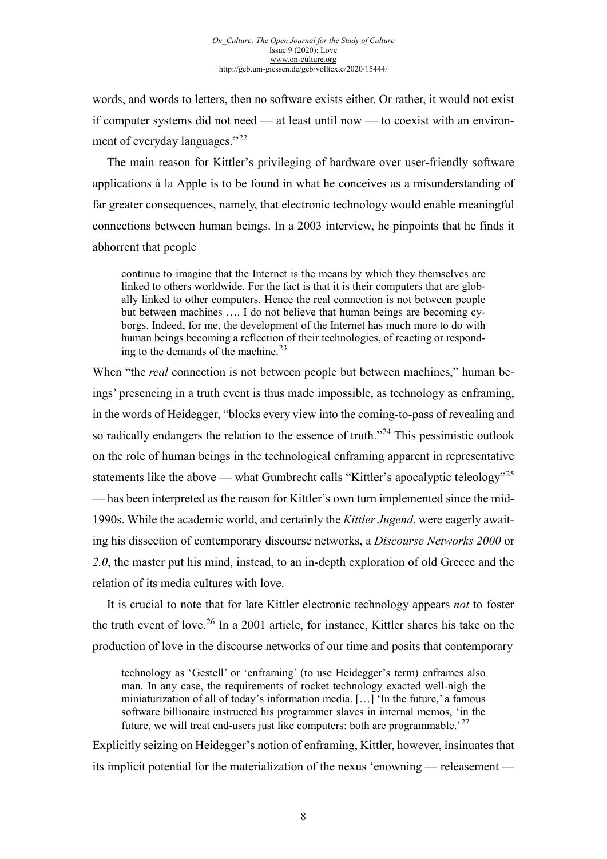words, and words to letters, then no software exists either. Or rather, it would not exist if computer systems did not need — at least until now — to coexist with an environment of everyday languages."[22](#page-20-8)

The main reason for Kittler's privileging of hardware over user-friendly software applications à la Apple is to be found in what he conceives as a misunderstanding of far greater consequences, namely, that electronic technology would enable meaningful connections between human beings. In a 2003 interview, he pinpoints that he finds it abhorrent that people

continue to imagine that the Internet is the means by which they themselves are linked to others worldwide. For the fact is that it is their computers that are globally linked to other computers. Hence the real connection is not between people but between machines …. I do not believe that human beings are becoming cyborgs. Indeed, for me, the development of the Internet has much more to do with human beings becoming a reflection of their technologies, of reacting or respond-ing to the demands of the machine.<sup>[23](#page-20-9)</sup>

When "the *real* connection is not between people but between machines," human beings' presencing in a truth event is thus made impossible, as technology as enframing, in the words of Heidegger, "blocks every view into the coming-to-pass of revealing and so radically endangers the relation to the essence of truth."<sup>[24](#page-20-10)</sup> This pessimistic outlook on the role of human beings in the technological enframing apparent in representative statements like the above — what Gumbrecht calls "Kittler's apocalyptic teleology"<sup>[25](#page-20-11)</sup> — has been interpreted as the reason for Kittler's own turn implemented since the mid-1990s. While the academic world, and certainly the *Kittler Jugend*, were eagerly awaiting his dissection of contemporary discourse networks, a *Discourse Networks 2000* or *2.0*, the master put his mind, instead, to an in-depth exploration of old Greece and the relation of its media cultures with love.

It is crucial to note that for late Kittler electronic technology appears *not* to foster the truth event of love.<sup>[26](#page-20-12)</sup> In a 2001 article, for instance, Kittler shares his take on the production of love in the discourse networks of our time and posits that contemporary

technology as 'Gestell' or 'enframing' (to use Heidegger's term) enframes also man. In any case, the requirements of rocket technology exacted well-nigh the miniaturization of all of today's information media. […] 'In the future,' a famous software billionaire instructed his programmer slaves in internal memos, 'in the future, we will treat end-users just like computers: both are programmable.<sup>[27](#page-20-13)</sup>

Explicitly seizing on Heidegger's notion of enframing, Kittler, however, insinuates that its implicit potential for the materialization of the nexus 'enowning — releasement —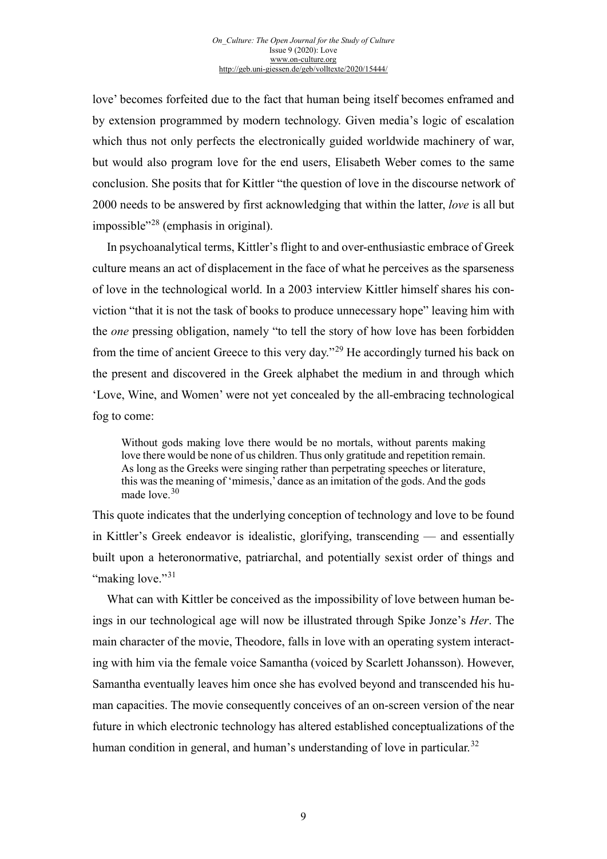love' becomes forfeited due to the fact that human being itself becomes enframed and by extension programmed by modern technology. Given media's logic of escalation which thus not only perfects the electronically guided worldwide machinery of war, but would also program love for the end users, Elisabeth Weber comes to the same conclusion. She posits that for Kittler "the question of love in the discourse network of 2000 needs to be answered by first acknowledging that within the latter, *love* is all but impossible"[28](#page-20-14) (emphasis in original).

In psychoanalytical terms, Kittler's flight to and over-enthusiastic embrace of Greek culture means an act of displacement in the face of what he perceives as the sparseness of love in the technological world. In a 2003 interview Kittler himself shares his conviction "that it is not the task of books to produce unnecessary hope" leaving him with the *one* pressing obligation, namely "to tell the story of how love has been forbidden from the time of ancient Greece to this very day."[29](#page-20-15) He accordingly turned his back on the present and discovered in the Greek alphabet the medium in and through which 'Love, Wine, and Women' were not yet concealed by the all-embracing technological fog to come:

Without gods making love there would be no mortals, without parents making love there would be none of us children. Thus only gratitude and repetition remain. As long as the Greeks were singing rather than perpetrating speeches or literature, this was the meaning of 'mimesis,' dance as an imitation of the gods. And the gods made love.[30](#page-20-16)

This quote indicates that the underlying conception of technology and love to be found in Kittler's Greek endeavor is idealistic, glorifying, transcending — and essentially built upon a heteronormative, patriarchal, and potentially sexist order of things and "making love."<sup>[31](#page-20-17)</sup>

What can with Kittler be conceived as the impossibility of love between human beings in our technological age will now be illustrated through Spike Jonze's *Her*. The main character of the movie, Theodore, falls in love with an operating system interacting with him via the female voice Samantha (voiced by Scarlett Johansson). However, Samantha eventually leaves him once she has evolved beyond and transcended his human capacities. The movie consequently conceives of an on-screen version of the near future in which electronic technology has altered established conceptualizations of the human condition in general, and human's understanding of love in particular.<sup>[32](#page-20-18)</sup>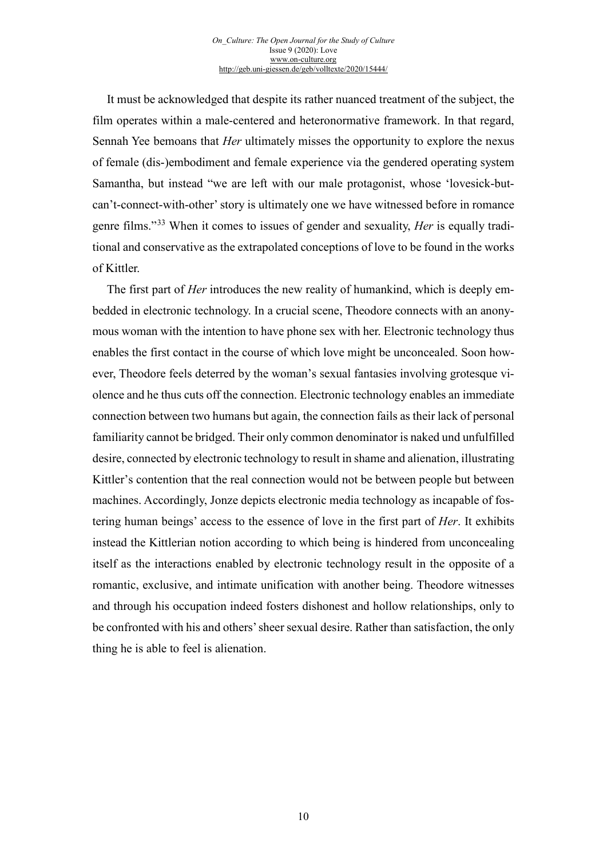It must be acknowledged that despite its rather nuanced treatment of the subject, the film operates within a male-centered and heteronormative framework. In that regard, Sennah Yee bemoans that *Her* ultimately misses the opportunity to explore the nexus of female (dis-)embodiment and female experience via the gendered operating system Samantha, but instead "we are left with our male protagonist, whose 'lovesick-butcan't-connect-with-other' story is ultimately one we have witnessed before in romance genre films."[33](#page-20-19) When it comes to issues of gender and sexuality, *Her* is equally traditional and conservative as the extrapolated conceptions of love to be found in the works of Kittler.

The first part of *Her* introduces the new reality of humankind, which is deeply embedded in electronic technology. In a crucial scene, Theodore connects with an anonymous woman with the intention to have phone sex with her. Electronic technology thus enables the first contact in the course of which love might be unconcealed. Soon however, Theodore feels deterred by the woman's sexual fantasies involving grotesque violence and he thus cuts off the connection. Electronic technology enables an immediate connection between two humans but again, the connection fails as their lack of personal familiarity cannot be bridged. Their only common denominator is naked und unfulfilled desire, connected by electronic technology to result in shame and alienation, illustrating Kittler's contention that the real connection would not be between people but between machines. Accordingly, Jonze depicts electronic media technology as incapable of fostering human beings' access to the essence of love in the first part of *Her*. It exhibits instead the Kittlerian notion according to which being is hindered from unconcealing itself as the interactions enabled by electronic technology result in the opposite of a romantic, exclusive, and intimate unification with another being. Theodore witnesses and through his occupation indeed fosters dishonest and hollow relationships, only to be confronted with his and others' sheer sexual desire. Rather than satisfaction, the only thing he is able to feel is alienation.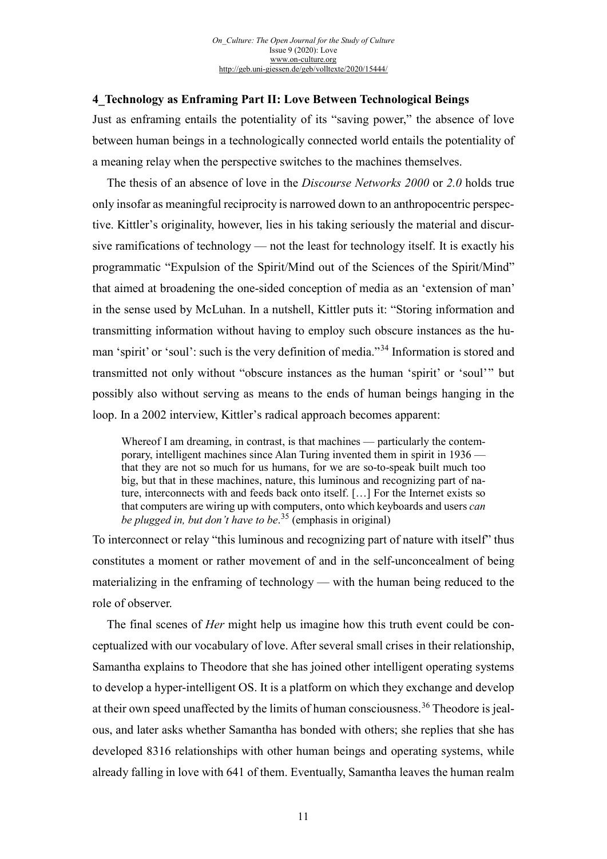#### **4\_Technology as Enframing Part II: Love Between Technological Beings**

Just as enframing entails the potentiality of its "saving power," the absence of love between human beings in a technologically connected world entails the potentiality of a meaning relay when the perspective switches to the machines themselves.

The thesis of an absence of love in the *Discourse Networks 2000* or *2.0* holds true only insofar as meaningful reciprocity is narrowed down to an anthropocentric perspective. Kittler's originality, however, lies in his taking seriously the material and discursive ramifications of technology — not the least for technology itself. It is exactly his programmatic "Expulsion of the Spirit/Mind out of the Sciences of the Spirit/Mind" that aimed at broadening the one-sided conception of media as an 'extension of man' in the sense used by McLuhan. In a nutshell, Kittler puts it: "Storing information and transmitting information without having to employ such obscure instances as the human 'spirit' or 'soul': such is the very definition of media."[34](#page-20-20) Information is stored and transmitted not only without "obscure instances as the human 'spirit' or 'soul'" but possibly also without serving as means to the ends of human beings hanging in the loop. In a 2002 interview, Kittler's radical approach becomes apparent:

Whereof I am dreaming, in contrast, is that machines — particularly the contemporary, intelligent machines since Alan Turing invented them in spirit in 1936 that they are not so much for us humans, for we are so-to-speak built much too big, but that in these machines, nature, this luminous and recognizing part of nature, interconnects with and feeds back onto itself. […] For the Internet exists so that computers are wiring up with computers, onto which keyboards and users *can be plugged in, but don't have to be*. [35](#page-20-21) (emphasis in original)

To interconnect or relay "this luminous and recognizing part of nature with itself" thus constitutes a moment or rather movement of and in the self-unconcealment of being materializing in the enframing of technology — with the human being reduced to the role of observer.

The final scenes of *Her* might help us imagine how this truth event could be conceptualized with our vocabulary of love. After several small crises in their relationship, Samantha explains to Theodore that she has joined other intelligent operating systems to develop a hyper-intelligent OS. It is a platform on which they exchange and develop at their own speed unaffected by the limits of human consciousness.<sup>[36](#page-20-22)</sup> Theodore is jealous, and later asks whether Samantha has bonded with others; she replies that she has developed 8316 relationships with other human beings and operating systems, while already falling in love with 641 of them. Eventually, Samantha leaves the human realm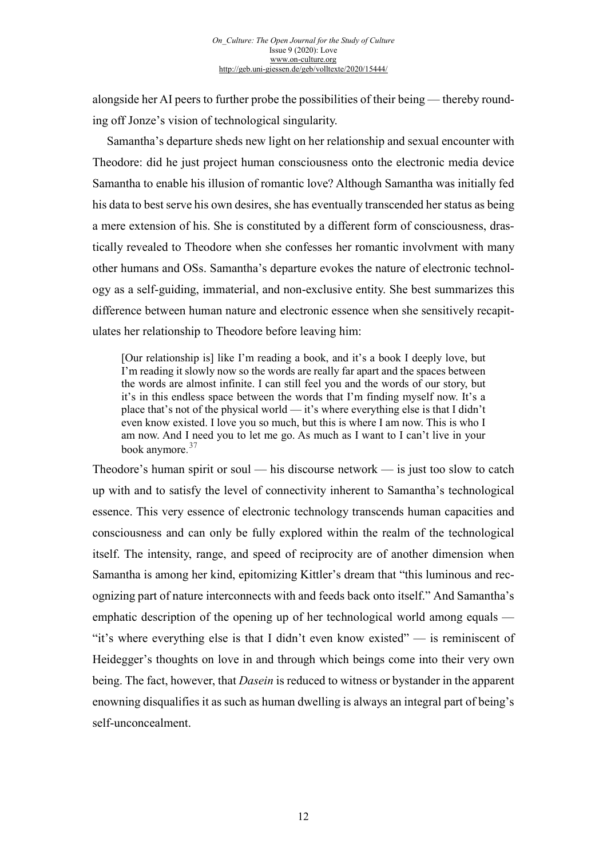alongside her AI peers to further probe the possibilities of their being — thereby rounding off Jonze's vision of technological singularity.

Samantha's departure sheds new light on her relationship and sexual encounter with Theodore: did he just project human consciousness onto the electronic media device Samantha to enable his illusion of romantic love? Although Samantha was initially fed his data to best serve his own desires, she has eventually transcended her status as being a mere extension of his. She is constituted by a different form of consciousness, drastically revealed to Theodore when she confesses her romantic involvment with many other humans and OSs. Samantha's departure evokes the nature of electronic technology as a self-guiding, immaterial, and non-exclusive entity. She best summarizes this difference between human nature and electronic essence when she sensitively recapitulates her relationship to Theodore before leaving him:

[Our relationship is] like I'm reading a book, and it's a book I deeply love, but I'm reading it slowly now so the words are really far apart and the spaces between the words are almost infinite. I can still feel you and the words of our story, but it's in this endless space between the words that I'm finding myself now. It's a place that's not of the physical world — it's where everything else is that I didn't even know existed. I love you so much, but this is where I am now. This is who I am now. And I need you to let me go. As much as I want to I can't live in your book anymore. [37](#page-20-23)

Theodore's human spirit or soul — his discourse network — is just too slow to catch up with and to satisfy the level of connectivity inherent to Samantha's technological essence. This very essence of electronic technology transcends human capacities and consciousness and can only be fully explored within the realm of the technological itself. The intensity, range, and speed of reciprocity are of another dimension when Samantha is among her kind, epitomizing Kittler's dream that "this luminous and recognizing part of nature interconnects with and feeds back onto itself." And Samantha's emphatic description of the opening up of her technological world among equals — "it's where everything else is that I didn't even know existed"  $-$  is reminiscent of Heidegger's thoughts on love in and through which beings come into their very own being. The fact, however, that *Dasein* is reduced to witness or bystander in the apparent enowning disqualifies it as such as human dwelling is always an integral part of being's self-unconcealment.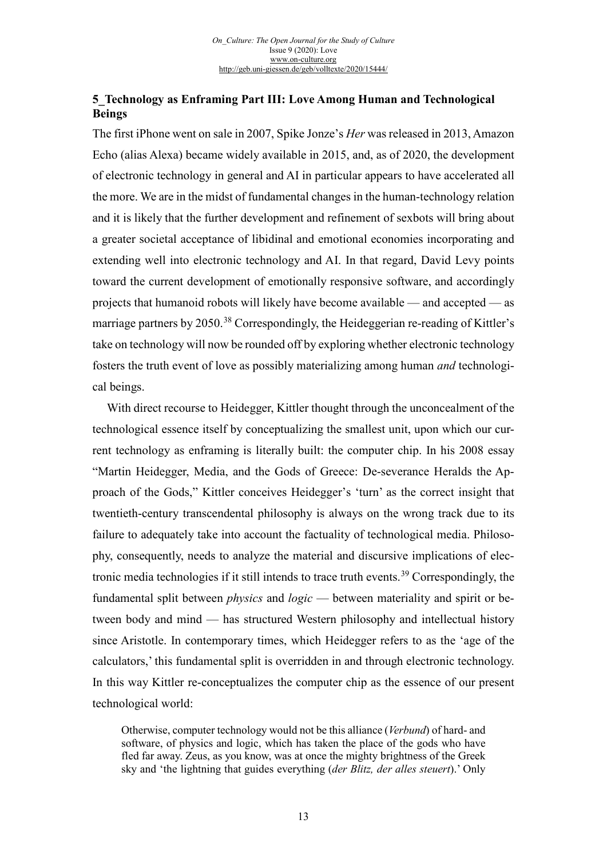## **5\_Technology as Enframing Part III: Love Among Human and Technological Beings**

The first iPhone went on sale in 2007, Spike Jonze's *Her* was released in 2013, Amazon Echo (alias Alexa) became widely available in 2015, and, as of 2020, the development of electronic technology in general and AI in particular appears to have accelerated all the more. We are in the midst of fundamental changes in the human-technology relation and it is likely that the further development and refinement of sexbots will bring about a greater societal acceptance of libidinal and emotional economies incorporating and extending well into electronic technology and AI. In that regard, David Levy points toward the current development of emotionally responsive software, and accordingly projects that humanoid robots will likely have become available — and accepted — as marriage partners by 2050.<sup>[38](#page-20-24)</sup> Correspondingly, the Heideggerian re-reading of Kittler's take on technology will now be rounded off by exploring whether electronic technology fosters the truth event of love as possibly materializing among human *and* technological beings.

With direct recourse to Heidegger, Kittler thought through the unconcealment of the technological essence itself by conceptualizing the smallest unit, upon which our current technology as enframing is literally built: the computer chip. In his 2008 essay "Martin Heidegger, Media, and the Gods of Greece: De-severance Heralds the Approach of the Gods," Kittler conceives Heidegger's 'turn' as the correct insight that twentieth-century transcendental philosophy is always on the wrong track due to its failure to adequately take into account the factuality of technological media. Philosophy, consequently, needs to analyze the material and discursive implications of elec-tronic media technologies if it still intends to trace truth events.<sup>[39](#page-20-25)</sup> Correspondingly, the fundamental split between *physics* and *logic* — between materiality and spirit or between body and mind — has structured Western philosophy and intellectual history since Aristotle. In contemporary times, which Heidegger refers to as the 'age of the calculators,' this fundamental split is overridden in and through electronic technology. In this way Kittler re-conceptualizes the computer chip as the essence of our present technological world:

Otherwise, computer technology would not be this alliance (*Verbund*) of hard- and software, of physics and logic, which has taken the place of the gods who have fled far away. Zeus, as you know, was at once the mighty brightness of the Greek sky and 'the lightning that guides everything (*der Blitz, der alles steuert*).' Only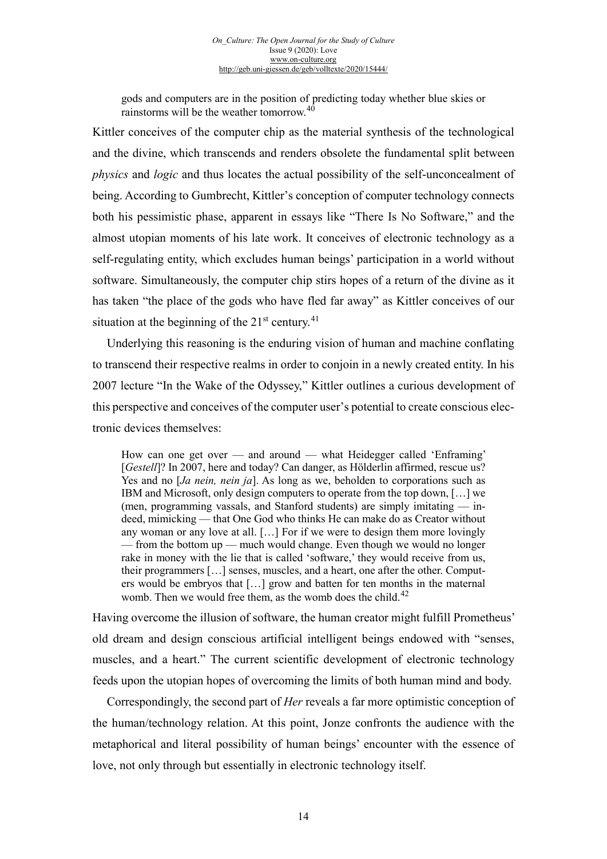gods and computers are in the position of predicting today whether blue skies or rainstorms will be the weather tomorrow. $40$ 

Kittler conceives of the computer chip as the material synthesis of the technological and the divine, which transcends and renders obsolete the fundamental split between *physics* and *logic* and thus locates the actual possibility of the self-unconcealment of being. According to Gumbrecht, Kittler's conception of computer technology connects both his pessimistic phase, apparent in essays like "There Is No Software," and the almost utopian moments of his late work. It conceives of electronic technology as a self-regulating entity, which excludes human beings' participation in a world without software. Simultaneously, the computer chip stirs hopes of a return of the divine as it has taken "the place of the gods who have fled far away" as Kittler conceives of our situation at the beginning of the  $21<sup>st</sup>$  century.<sup>[41](#page-20-26)</sup>

Underlying this reasoning is the enduring vision of human and machine conflating to transcend their respective realms in order to conjoin in a newly created entity. In his 2007 lecture "In the Wake of the Odyssey," Kittler outlines a curious development of this perspective and conceives of the computer user's potential to create conscious electronic devices themselves:

How can one get over — and around — what Heidegger called 'Enframing' [*Gestell*]? In 2007, here and today? Can danger, as Hölderlin affirmed, rescue us? Yes and no [*Ja nein, nein ja*]. As long as we, beholden to corporations such as IBM and Microsoft, only design computers to operate from the top down, […] we (men, programming vassals, and Stanford students) are simply imitating — indeed, mimicking — that One God who thinks He can make do as Creator without any woman or any love at all. […] For if we were to design them more lovingly — from the bottom up — much would change. Even though we would no longer rake in money with the lie that is called 'software,' they would receive from us, their programmers […] senses, muscles, and a heart, one after the other. Computers would be embryos that […] grow and batten for ten months in the maternal womb. Then we would free them, as the womb does the child. $^{42}$  $^{42}$  $^{42}$ 

Having overcome the illusion of software, the human creator might fulfill Prometheus' old dream and design conscious artificial intelligent beings endowed with "senses, muscles, and a heart." The current scientific development of electronic technology feeds upon the utopian hopes of overcoming the limits of both human mind and body.

Correspondingly, the second part of *Her* reveals a far more optimistic conception of the human/technology relation. At this point, Jonze confronts the audience with the metaphorical and literal possibility of human beings' encounter with the essence of love, not only through but essentially in electronic technology itself.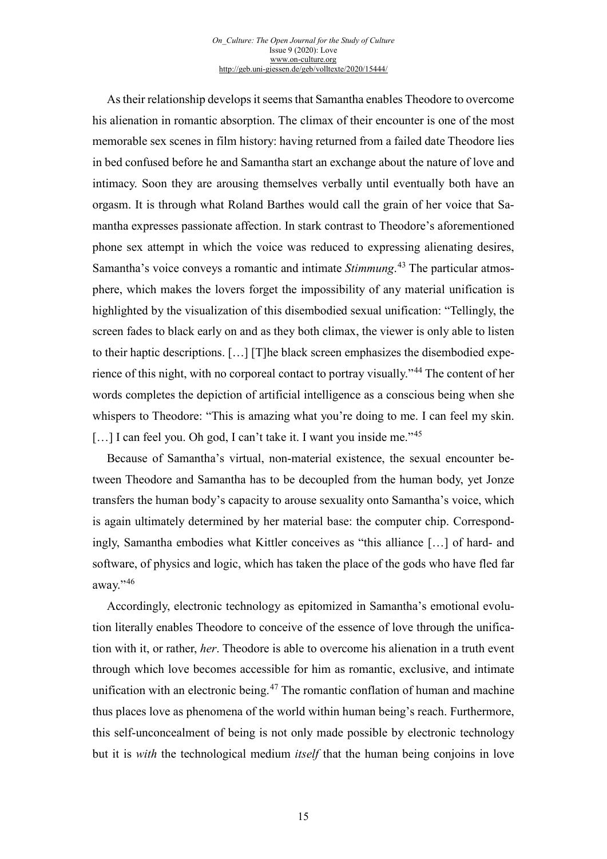As their relationship develops it seems that Samantha enables Theodore to overcome his alienation in romantic absorption. The climax of their encounter is one of the most memorable sex scenes in film history: having returned from a failed date Theodore lies in bed confused before he and Samantha start an exchange about the nature of love and intimacy. Soon they are arousing themselves verbally until eventually both have an orgasm. It is through what Roland Barthes would call the grain of her voice that Samantha expresses passionate affection. In stark contrast to Theodore's aforementioned phone sex attempt in which the voice was reduced to expressing alienating desires, Samantha's voice conveys a romantic and intimate *Stimmung*. [43](#page-20-28) The particular atmosphere, which makes the lovers forget the impossibility of any material unification is highlighted by the visualization of this disembodied sexual unification: "Tellingly, the screen fades to black early on and as they both climax, the viewer is only able to listen to their haptic descriptions. […] [T]he black screen emphasizes the disembodied experience of this night, with no corporeal contact to portray visually."[44](#page-20-29) The content of her words completes the depiction of artificial intelligence as a conscious being when she whispers to Theodore: "This is amazing what you're doing to me. I can feel my skin. [...] I can feel you. Oh god, I can't take it. I want you inside me."<sup>[45](#page-20-30)</sup>

Because of Samantha's virtual, non-material existence, the sexual encounter between Theodore and Samantha has to be decoupled from the human body, yet Jonze transfers the human body's capacity to arouse sexuality onto Samantha's voice, which is again ultimately determined by her material base: the computer chip. Correspondingly, Samantha embodies what Kittler conceives as "this alliance […] of hard- and software, of physics and logic, which has taken the place of the gods who have fled far away."[46](#page-20-31)

Accordingly, electronic technology as epitomized in Samantha's emotional evolution literally enables Theodore to conceive of the essence of love through the unification with it, or rather, *her*. Theodore is able to overcome his alienation in a truth event through which love becomes accessible for him as romantic, exclusive, and intimate unification with an electronic being. $47$  The romantic conflation of human and machine thus places love as phenomena of the world within human being's reach. Furthermore, this self-unconcealment of being is not only made possible by electronic technology but it is *with* the technological medium *itself* that the human being conjoins in love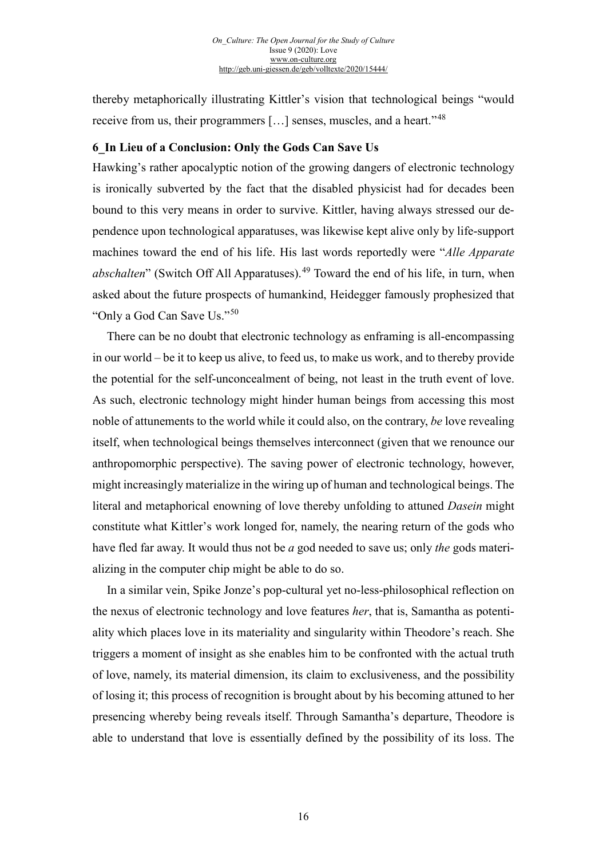thereby metaphorically illustrating Kittler's vision that technological beings "would receive from us, their programmers […] senses, muscles, and a heart."[48](#page-20-33)

#### **6\_In Lieu of a Conclusion: Only the Gods Can Save Us**

Hawking's rather apocalyptic notion of the growing dangers of electronic technology is ironically subverted by the fact that the disabled physicist had for decades been bound to this very means in order to survive. Kittler, having always stressed our dependence upon technological apparatuses, was likewise kept alive only by life-support machines toward the end of his life. His last words reportedly were "*Alle Apparate abschalten*" (Switch Off All Apparatuses).<sup>[49](#page-20-34)</sup> Toward the end of his life, in turn, when asked about the future prospects of humankind, Heidegger famously prophesized that "Only a God Can Save Us."<sup>[50](#page-20-35)</sup>

There can be no doubt that electronic technology as enframing is all-encompassing in our world – be it to keep us alive, to feed us, to make us work, and to thereby provide the potential for the self-unconcealment of being, not least in the truth event of love. As such, electronic technology might hinder human beings from accessing this most noble of attunements to the world while it could also, on the contrary, *be* love revealing itself, when technological beings themselves interconnect (given that we renounce our anthropomorphic perspective). The saving power of electronic technology, however, might increasingly materialize in the wiring up of human and technological beings. The literal and metaphorical enowning of love thereby unfolding to attuned *Dasein* might constitute what Kittler's work longed for, namely, the nearing return of the gods who have fled far away. It would thus not be *a* god needed to save us; only *the* gods materializing in the computer chip might be able to do so.

In a similar vein, Spike Jonze's pop-cultural yet no-less-philosophical reflection on the nexus of electronic technology and love features *her*, that is, Samantha as potentiality which places love in its materiality and singularity within Theodore's reach. She triggers a moment of insight as she enables him to be confronted with the actual truth of love, namely, its material dimension, its claim to exclusiveness, and the possibility of losing it; this process of recognition is brought about by his becoming attuned to her presencing whereby being reveals itself. Through Samantha's departure, Theodore is able to understand that love is essentially defined by the possibility of its loss. The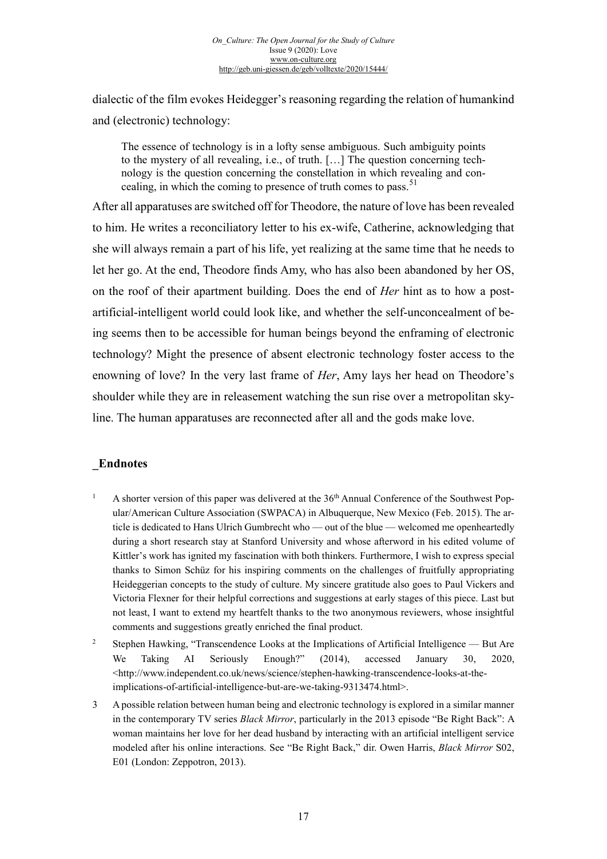dialectic of the film evokes Heidegger's reasoning regarding the relation of humankind and (electronic) technology:

The essence of technology is in a lofty sense ambiguous. Such ambiguity points to the mystery of all revealing, i.e., of truth. […] The question concerning technology is the question concerning the constellation in which revealing and con-cealing, in which the coming to presence of truth comes to pass.<sup>[51](#page-20-36)</sup>

After all apparatuses are switched off for Theodore, the nature of love has been revealed to him. He writes a reconciliatory letter to his ex-wife, Catherine, acknowledging that she will always remain a part of his life, yet realizing at the same time that he needs to let her go. At the end, Theodore finds Amy, who has also been abandoned by her OS, on the roof of their apartment building. Does the end of *Her* hint as to how a postartificial-intelligent world could look like, and whether the self-unconcealment of being seems then to be accessible for human beings beyond the enframing of electronic technology? Might the presence of absent electronic technology foster access to the enowning of love? In the very last frame of *Her*, Amy lays her head on Theodore's shoulder while they are in releasement watching the sun rise over a metropolitan skyline. The human apparatuses are reconnected after all and the gods make love.

## **\_Endnotes**

- <sup>1</sup> A shorter version of this paper was delivered at the  $36<sup>th</sup>$  Annual Conference of the Southwest Popular/American Culture Association (SWPACA) in Albuquerque, New Mexico (Feb. 2015). The article is dedicated to Hans Ulrich Gumbrecht who — out of the blue — welcomed me openheartedly during a short research stay at Stanford University and whose afterword in his edited volume of Kittler's work has ignited my fascination with both thinkers. Furthermore, I wish to express special thanks to Simon Schüz for his inspiring comments on the challenges of fruitfully appropriating Heideggerian concepts to the study of culture. My sincere gratitude also goes to Paul Vickers and Victoria Flexner for their helpful corrections and suggestions at early stages of this piece. Last but not least, I want to extend my heartfelt thanks to the two anonymous reviewers, whose insightful comments and suggestions greatly enriched the final product.
- <sup>2</sup> Stephen Hawking, "Transcendence Looks at the Implications of Artificial Intelligence But Are We Taking AI Seriously Enough?" (2014), accessed January 30, 2020, [<http://www.independent.co.uk/news/science/stephen-hawking-transcendence-looks-at-the](http://www.independent.co.uk/news/science/stephen-hawking-transcendence-looks-at-the-implications-of-artificial-intelligence-but-are-we-taking-9313474.html)[implications-of-artificial-intelligence-but-are-we-taking-9313474.html>](http://www.independent.co.uk/news/science/stephen-hawking-transcendence-looks-at-the-implications-of-artificial-intelligence-but-are-we-taking-9313474.html).
- 3 A possible relation between human being and electronic technology is explored in a similar manner in the contemporary TV series *Black Mirror*, particularly in the 2013 episode "Be Right Back": A woman maintains her love for her dead husband by interacting with an artificial intelligent service modeled after his online interactions. See "Be Right Back," dir. Owen Harris, *Black Mirror* S02, E01 (London: Zeppotron, 2013).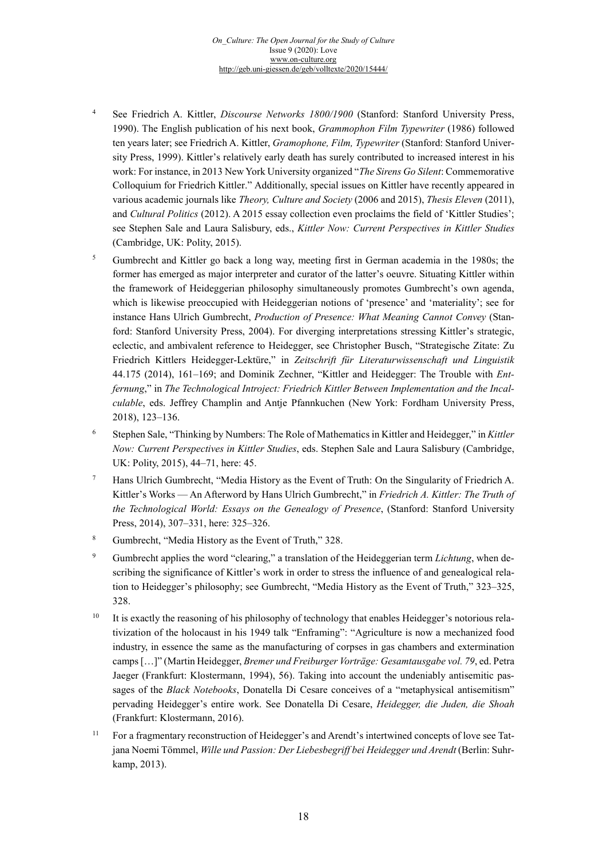- <sup>4</sup> See Friedrich A. Kittler, *Discourse Networks 1800/1900* (Stanford: Stanford University Press, 1990). The English publication of his next book, *Grammophon Film Typewriter* (1986) followed ten years later; see Friedrich A. Kittler, *Gramophone, Film, Typewriter* (Stanford: Stanford University Press, 1999). Kittler's relatively early death has surely contributed to increased interest in his work: For instance, in 2013 New York University organized "*The Sirens Go Silent*: Commemorative Colloquium for Friedrich Kittler." Additionally, special issues on Kittler have recently appeared in various academic journals like *Theory, Culture and Society* (2006 and 2015), *Thesis Eleven* (2011), and *Cultural Politics* (2012). A 2015 essay collection even proclaims the field of 'Kittler Studies'; see Stephen Sale and Laura Salisbury, eds., *Kittler Now: Current Perspectives in Kittler Studies* (Cambridge, UK: Polity, 2015).
- <sup>5</sup> Gumbrecht and Kittler go back a long way, meeting first in German academia in the 1980s; the former has emerged as major interpreter and curator of the latter's oeuvre. Situating Kittler within the framework of Heideggerian philosophy simultaneously promotes Gumbrecht's own agenda, which is likewise preoccupied with Heideggerian notions of 'presence' and 'materiality'; see for instance Hans Ulrich Gumbrecht, *Production of Presence: What Meaning Cannot Convey* (Stanford: Stanford University Press, 2004). For diverging interpretations stressing Kittler's strategic, eclectic, and ambivalent reference to Heidegger, see Christopher Busch, "Strategische Zitate: Zu Friedrich Kittlers Heidegger-Lektüre," in *Zeitschrift für Literaturwissenschaft und Linguistik* 44.175 (2014), 161–169; and Dominik Zechner, "Kittler and Heidegger: The Trouble with *Entfernung*," in *The Technological Introject: Friedrich Kittler Between Implementation and the Incalculable*, eds. Jeffrey Champlin and Antje Pfannkuchen (New York: Fordham University Press, 2018), 123–136.
- <sup>6</sup> Stephen Sale, "Thinking by Numbers: The Role of Mathematics in Kittler and Heidegger," in *Kittler Now: Current Perspectives in Kittler Studies*, eds. Stephen Sale and Laura Salisbury (Cambridge, UK: Polity, 2015), 44–71, here: 45.
- <span id="page-17-0"></span><sup>7</sup> Hans Ulrich Gumbrecht, "Media History as the Event of Truth: On the Singularity of Friedrich A. Kittler's Works — An Afterword by Hans Ulrich Gumbrecht," in *Friedrich A. Kittler: The Truth of the Technological World: Essays on the Genealogy of Presence*, (Stanford: Stanford University Press, 2014), 307–331, here: 325–326.
- <sup>8</sup> Gumbrecht, "Media History as the Event of Truth," 328.
- <sup>9</sup> Gumbrecht applies the word "clearing," a translation of the Heideggerian term *Lichtung*, when describing the significance of Kittler's work in order to stress the influence of and genealogical relation to Heidegger's philosophy; see Gumbrecht, "Media History as the Event of Truth," 323–325, 328.
- <span id="page-17-1"></span><sup>10</sup> It is exactly the reasoning of his philosophy of technology that enables Heidegger's notorious relativization of the holocaust in his 1949 talk "Enframing": "Agriculture is now a mechanized food industry, in essence the same as the manufacturing of corpses in gas chambers and extermination camps […]" (Martin Heidegger, *Bremer und Freiburger Vorträge: Gesamtausgabe vol. 79*, ed. Petra Jaeger (Frankfurt: Klostermann, 1994), 56). Taking into account the undeniably antisemitic passages of the *Black Notebooks*, Donatella Di Cesare conceives of a "metaphysical antisemitism" pervading Heidegger's entire work. See Donatella Di Cesare, *Heidegger, die Juden, die Shoah*  (Frankfurt: Klostermann, 2016).
- <sup>11</sup> For a fragmentary reconstruction of Heidegger's and Arendt's intertwined concepts of love see Tatjana Noemi Tömmel, *Wille und Passion: Der Liebesbegriff bei Heidegger und Arendt* (Berlin: Suhrkamp, 2013).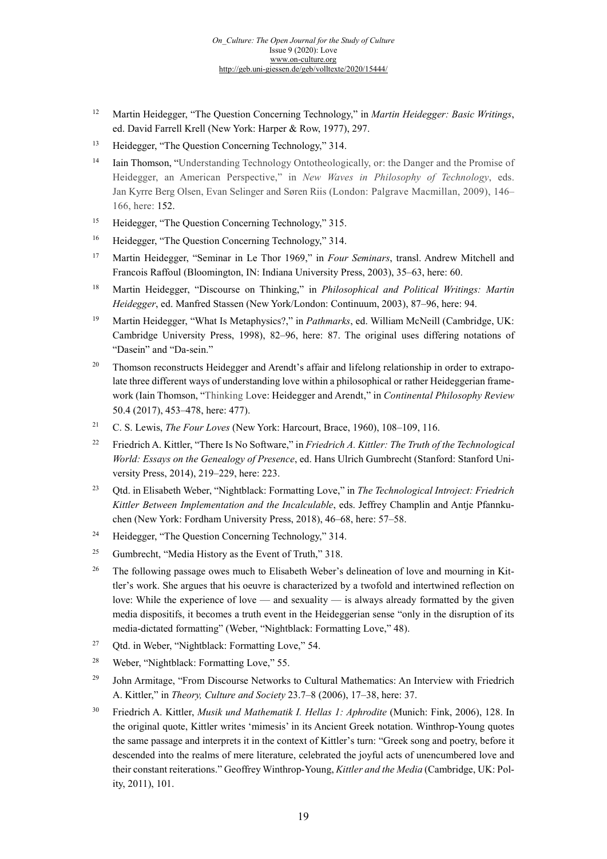- <span id="page-18-1"></span><sup>12</sup> Martin Heidegger, "The Question Concerning Technology," in *Martin Heidegger: Basic Writings*, ed. David Farrell Krell (New York: Harper & Row, 1977), 297.
- <sup>13</sup> Heidegger, "The Question Concerning Technology," 314.
- <sup>14</sup> Iain Thomson, "Understanding Technology Ontotheologically, or: the Danger and the Promise of Heidegger, an American Perspective," in *New Waves in Philosophy of Technology*, eds. Jan Kyrre Berg Olsen, Evan Selinger and Søren Riis (London: Palgrave Macmillan, 2009), 146– 166, here: 152.
- <sup>15</sup> Heidegger, "The Question Concerning Technology," 315.
- <sup>16</sup> Heidegger, "The Question Concerning Technology," 314.
- <span id="page-18-2"></span><sup>17</sup> Martin Heidegger, "Seminar in Le Thor 1969," in *Four Seminars*, transl. Andrew Mitchell and Francois Raffoul (Bloomington, IN: Indiana University Press, 2003), 35–63, here: 60.
- <sup>18</sup> Martin Heidegger, "Discourse on Thinking," in *Philosophical and Political Writings: Martin Heidegger*, ed. Manfred Stassen (New York/London: Continuum, 2003), 87–96, here: 94.
- <sup>19</sup> Martin Heidegger, "What Is Metaphysics?," in *Pathmarks*, ed. William McNeill (Cambridge, UK: Cambridge University Press, 1998), 82–96, here: 87. The original uses differing notations of "Dasein" and "Da-sein."
- <sup>20</sup> Thomson reconstructs Heidegger and Arendt's affair and lifelong relationship in order to extrapolate three different ways of understanding love within a philosophical or rather Heideggerian framework (Iain Thomson, "Thinking Love: Heidegger and Arendt," in *Continental Philosophy Review*  50.4 (2017), 453–478, here: 477).
- <span id="page-18-3"></span><sup>21</sup> C. S. Lewis, *The Four Loves* (New York: Harcourt, Brace, 1960), 108–109, 116.
- <sup>22</sup> Friedrich A. Kittler, "There Is No Software," in *Friedrich A. Kittler: The Truth of the Technological World: Essays on the Genealogy of Presence*, ed. Hans Ulrich Gumbrecht (Stanford: Stanford University Press, 2014), 219–229, here: 223.
- <span id="page-18-4"></span><sup>23</sup> Qtd. in Elisabeth Weber, "Nightblack: Formatting Love," in *The Technological Introject: Friedrich Kittler Between Implementation and the Incalculable*, eds. Jeffrey Champlin and Antje Pfannkuchen (New York: Fordham University Press, 2018), 46–68, here: 57–58.
- <span id="page-18-5"></span><sup>24</sup> Heidegger, "The Question Concerning Technology," 314.
- <sup>25</sup> Gumbrecht, "Media History as the Event of Truth," 318.
- <sup>26</sup> The following passage owes much to Elisabeth Weber's delineation of love and mourning in Kittler's work. She argues that his oeuvre is characterized by a twofold and intertwined reflection on love: While the experience of love — and sexuality — is always already formatted by the given media dispositifs, it becomes a truth event in the Heideggerian sense "only in the disruption of its media-dictated formatting" (Weber, "Nightblack: Formatting Love," 48).
- <sup>27</sup> Qtd. in Weber, "Nightblack: Formatting Love," 54.
- <sup>28</sup> Weber, "Nightblack: Formatting Love," 55.
- <sup>29</sup> John Armitage, "From Discourse Networks to Cultural Mathematics: An Interview with Friedrich A. Kittler," in *Theory, Culture and Society* 23.7–8 (2006), 17–38, here: 37.
- <span id="page-18-0"></span><sup>30</sup> Friedrich A. Kittler, *Musik und Mathematik I. Hellas 1: Aphrodite* (Munich: Fink, 2006), 128. In the original quote, Kittler writes 'mimesis' in its Ancient Greek notation. Winthrop-Young quotes the same passage and interprets it in the context of Kittler's turn: "Greek song and poetry, before it descended into the realms of mere literature, celebrated the joyful acts of unencumbered love and their constant reiterations." Geoffrey Winthrop-Young, *Kittler and the Media* (Cambridge, UK: Polity, 2011), 101.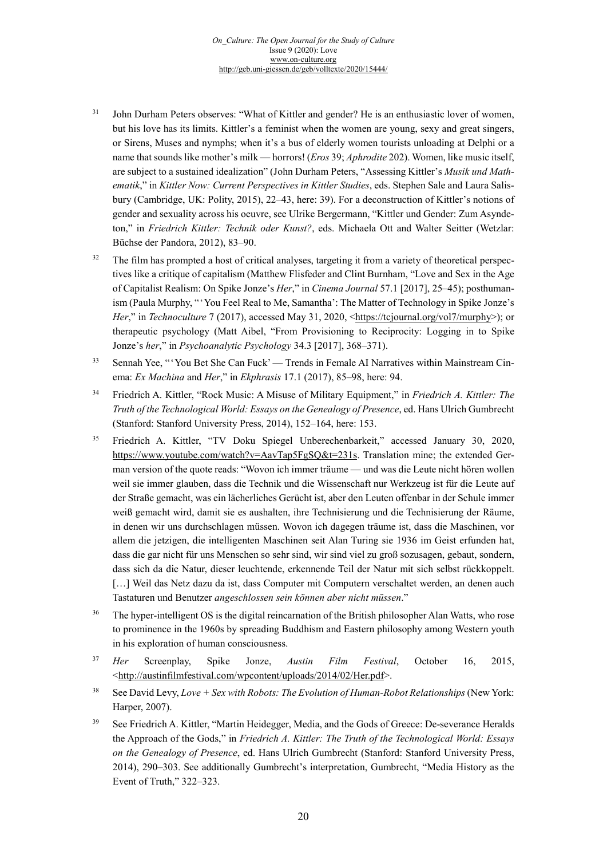- <span id="page-19-4"></span><span id="page-19-3"></span><sup>31</sup> John Durham Peters observes: "What of Kittler and gender? He is an enthusiastic lover of women, but his love has its limits. Kittler's a feminist when the women are young, sexy and great singers, or Sirens, Muses and nymphs; when it's a bus of elderly women tourists unloading at Delphi or a name that sounds like mother's milk — horrors! (*Eros* 39; *Aphrodite* 202). Women, like music itself, are subject to a sustained idealization" (John Durham Peters, "Assessing Kittler's *Musik und Mathematik*," in *Kittler Now: Current Perspectives in Kittler Studies*, eds. Stephen Sale and Laura Salisbury (Cambridge, UK: Polity, 2015), 22–43, here: 39). For a deconstruction of Kittler's notions of gender and sexuality across his oeuvre, see Ulrike Bergermann, "Kittler und Gender: Zum Asyndeton," in *Friedrich Kittler: Technik oder Kunst?*, eds. Michaela Ott and Walter Seitter (Wetzlar: Büchse der Pandora, 2012), 83–90.
- <sup>32</sup> The film has prompted a host of critical analyses, targeting it from a variety of theoretical perspectives like a critique of capitalism (Matthew Flisfeder and Clint Burnham, "Love and Sex in the Age of Capitalist Realism: On Spike Jonze's *Her*," in *Cinema Journal* 57.1 [2017], 25–45); posthumanism (Paula Murphy, "'You Feel Real to Me, Samantha': The Matter of Technology in Spike Jonze's *Her*," in *Technoculture* 7 (2017), accessed May 31, 2020, [<https://tcjournal.org/vol7/murphy>](https://tcjournal.org/vol7/murphy)); or therapeutic psychology (Matt Aibel, "From Provisioning to Reciprocity: Logging in to Spike Jonze's *her*," in *Psychoanalytic Psychology* 34.3 [2017], 368–371).
- <sup>33</sup> Sennah Yee, "'You Bet She Can Fuck' Trends in Female AI Narratives within Mainstream Cinema: *Ex Machina* and *Her*," in *Ekphrasis* 17.1 (2017), 85–98, here: 94.
- <sup>34</sup> Friedrich A. Kittler, "Rock Music: A Misuse of Military Equipment," in *Friedrich A. Kittler: The Truth of the Technological World: Essays on the Genealogy of Presence*, ed. Hans Ulrich Gumbrecht (Stanford: Stanford University Press, 2014), 152–164, here: 153.
- <sup>35</sup> Friedrich A. Kittler, "TV Doku Spiegel Unberechenbarkeit," accessed January 30, 2020, [https://www.youtube.com/watch?v=AavTap5FgSQ&t=231s.](https://www.youtube.com/watch?v=AavTap5FgSQ&t=231s) Translation mine; the extended German version of the quote reads: "Wovon ich immer träume — und was die Leute nicht hören wollen weil sie immer glauben, dass die Technik und die Wissenschaft nur Werkzeug ist für die Leute auf der Straße gemacht, was ein lächerliches Gerücht ist, aber den Leuten offenbar in der Schule immer weiß gemacht wird, damit sie es aushalten, ihre Technisierung und die Technisierung der Räume, in denen wir uns durchschlagen müssen. Wovon ich dagegen träume ist, dass die Maschinen, vor allem die jetzigen, die intelligenten Maschinen seit Alan Turing sie 1936 im Geist erfunden hat, dass die gar nicht für uns Menschen so sehr sind, wir sind viel zu groß sozusagen, gebaut, sondern, dass sich da die Natur, dieser leuchtende, erkennende Teil der Natur mit sich selbst rückkoppelt. [...] Weil das Netz dazu da ist, dass Computer mit Computern verschaltet werden, an denen auch Tastaturen und Benutzer *angeschlossen sein können aber nicht müssen*."
- <span id="page-19-1"></span><span id="page-19-0"></span><sup>36</sup> The hyper-intelligent OS is the digital reincarnation of the British philosopher Alan Watts, who rose to prominence in the 1960s by spreading Buddhism and Eastern philosophy among Western youth in his exploration of human consciousness.
- <sup>37</sup> *Her* Screenplay, Spike Jonze, *Austin Film Festival*, October 16, 2015, [<http://austinfilmfestival.com/wpcontent/uploads/2014/02/Her.pdf>](http://austinfilmfestival.com/wpcontent/uploads/2014/02/Her.pdf).
- <sup>38</sup> See David Levy, *Love + Sex with Robots: The Evolution of Human-Robot Relationships*(New York: Harper, 2007).
- <span id="page-19-2"></span><sup>39</sup> See Friedrich A. Kittler, "Martin Heidegger, Media, and the Gods of Greece: De-severance Heralds the Approach of the Gods," in *Friedrich A. Kittler: The Truth of the Technological World: Essays on the Genealogy of Presence*, ed. Hans Ulrich Gumbrecht (Stanford: Stanford University Press, 2014), 290–303. See additionally Gumbrecht's interpretation, Gumbrecht, "Media History as the Event of Truth," 322–323.